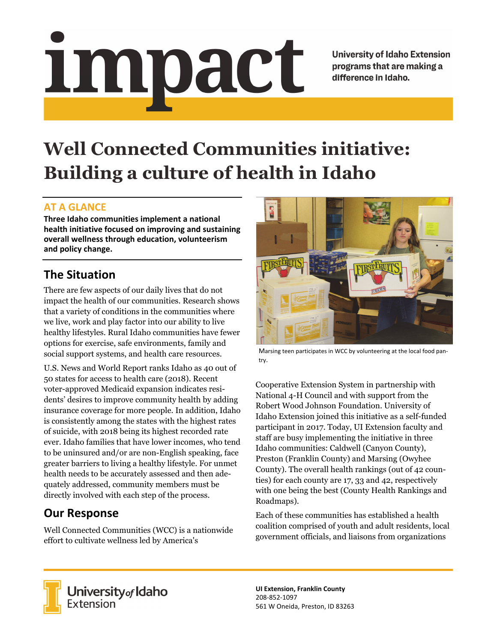# Impact

**University of Idaho Extension** programs that are making a difference in Idaho.

# **Well Connected Communities initiative: Building a culture of health in Idaho**

### **AT A GLANCE**

**Three Idaho communities implement a national health initiative focused on improving and sustaining overall wellness through education, volunteerism and policy change.**

## **The Situation**

There are few aspects of our daily lives that do not impact the health of our communities. Research shows that a variety of conditions in the communities where we live, work and play factor into our ability to live healthy lifestyles. Rural Idaho communities have fewer options for exercise, safe environments, family and social support systems, and health care resources.

U.S. News and World Report ranks Idaho as 40 out of 50 states for access to health care (2018). Recent voter-approved Medicaid expansion indicates residents' desires to improve community health by adding insurance coverage for more people. In addition, Idaho is consistently among the states with the highest rates of suicide, with 2018 being its highest recorded rate ever. Idaho families that have lower incomes, who tend to be uninsured and/or are non-English speaking, face greater barriers to living a healthy lifestyle. For unmet health needs to be accurately assessed and then adequately addressed, community members must be directly involved with each step of the process.

### **Our Response**

Well Connected Communities (WCC) is a nationwide effort to cultivate wellness led by America's



Marsing teen participates in WCC by volunteering at the local food pan‐ try.

Cooperative Extension System in partnership with National 4-H Council and with support from the Robert Wood Johnson Foundation. University of Idaho Extension joined this initiative as a self-funded participant in 2017. Today, UI Extension faculty and staff are busy implementing the initiative in three Idaho communities: Caldwell (Canyon County), Preston (Franklin County) and Marsing (Owyhee County). The overall health rankings (out of 42 counties) for each county are 17, 33 and 42, respectively with one being the best (County Health Rankings and Roadmaps).

Each of these communities has established a health coalition comprised of youth and adult residents, local government officials, and liaisons from organizations



University of Idaho<br>Extension

**UI Extension, Franklin County** 208‐852‐1097 561 W Oneida, Preston, ID 83263